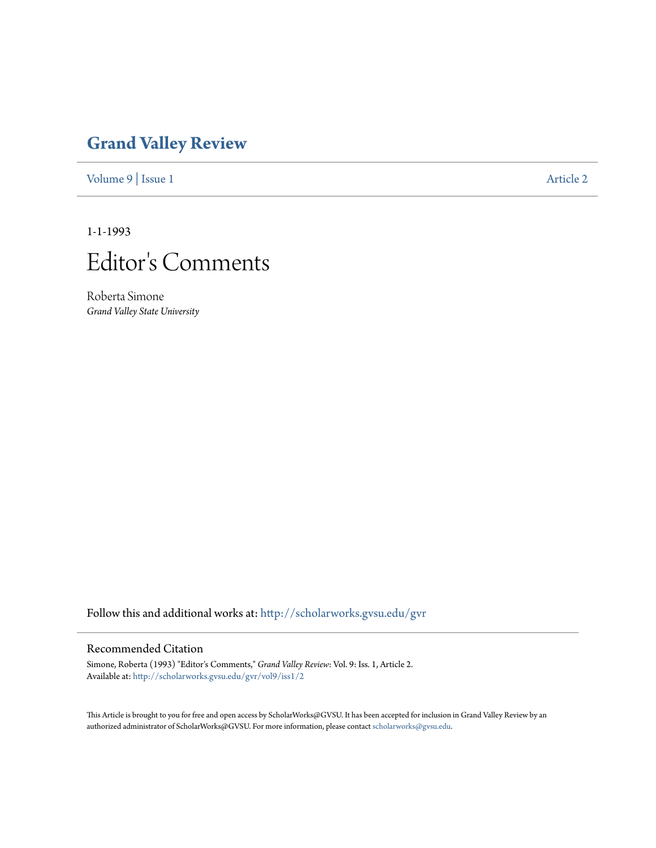## **[Grand Valley Review](http://scholarworks.gvsu.edu/gvr?utm_source=scholarworks.gvsu.edu%2Fgvr%2Fvol9%2Fiss1%2F2&utm_medium=PDF&utm_campaign=PDFCoverPages)**

[Volume 9](http://scholarworks.gvsu.edu/gvr/vol9?utm_source=scholarworks.gvsu.edu%2Fgvr%2Fvol9%2Fiss1%2F2&utm_medium=PDF&utm_campaign=PDFCoverPages) | [Issue 1](http://scholarworks.gvsu.edu/gvr/vol9/iss1?utm_source=scholarworks.gvsu.edu%2Fgvr%2Fvol9%2Fiss1%2F2&utm_medium=PDF&utm_campaign=PDFCoverPages) [Article 2](http://scholarworks.gvsu.edu/gvr/vol9/iss1/2?utm_source=scholarworks.gvsu.edu%2Fgvr%2Fvol9%2Fiss1%2F2&utm_medium=PDF&utm_campaign=PDFCoverPages)

1-1-1993



Roberta Simone *Grand Valley State University*

Follow this and additional works at: [http://scholarworks.gvsu.edu/gvr](http://scholarworks.gvsu.edu/gvr?utm_source=scholarworks.gvsu.edu%2Fgvr%2Fvol9%2Fiss1%2F2&utm_medium=PDF&utm_campaign=PDFCoverPages)

## Recommended Citation

Simone, Roberta (1993) "Editor's Comments," *Grand Valley Review*: Vol. 9: Iss. 1, Article 2. Available at: [http://scholarworks.gvsu.edu/gvr/vol9/iss1/2](http://scholarworks.gvsu.edu/gvr/vol9/iss1/2?utm_source=scholarworks.gvsu.edu%2Fgvr%2Fvol9%2Fiss1%2F2&utm_medium=PDF&utm_campaign=PDFCoverPages)

This Article is brought to you for free and open access by ScholarWorks@GVSU. It has been accepted for inclusion in Grand Valley Review by an authorized administrator of ScholarWorks@GVSU. For more information, please contact [scholarworks@gvsu.edu.](mailto:scholarworks@gvsu.edu)